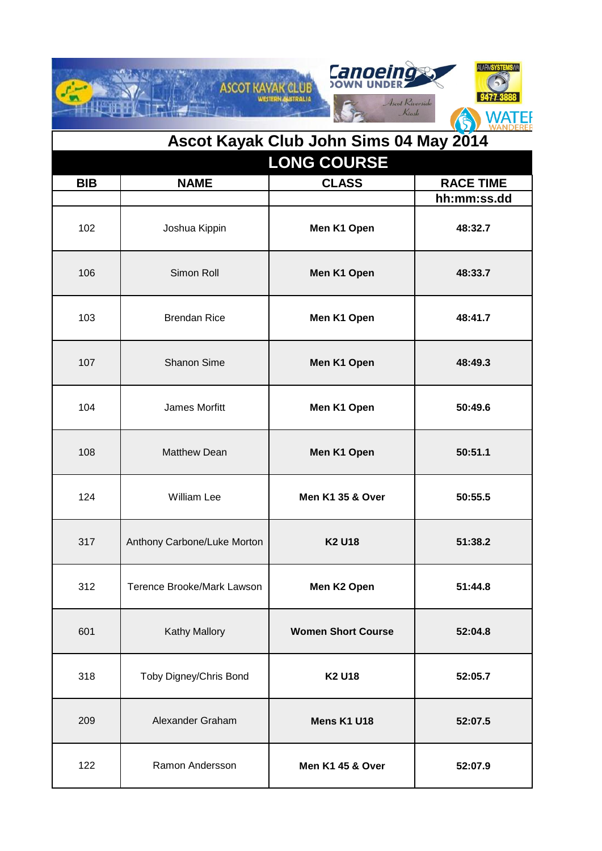|            | <b>ASCOT KAYAK CLUB</b>     | <b>Canoeing</b><br>WESTERN AUSTRALIA<br>Ascot Riverside<br>Kiosk | ALARMSYSTEI<br>WANDEREI |
|------------|-----------------------------|------------------------------------------------------------------|-------------------------|
|            |                             | Ascot Kayak Club John Sims 04 May 2014                           |                         |
|            |                             | <b>LONG COURSE</b>                                               |                         |
| <b>BIB</b> | <b>NAME</b>                 | <b>CLASS</b>                                                     | <b>RACE TIME</b>        |
|            |                             |                                                                  | hh:mm:ss.dd             |
| 102        | Joshua Kippin               | Men K1 Open                                                      | 48:32.7                 |
| 106        | Simon Roll                  | Men K1 Open                                                      | 48:33.7                 |
| 103        | <b>Brendan Rice</b>         | Men K1 Open                                                      | 48:41.7                 |
| 107        | <b>Shanon Sime</b>          | Men K1 Open                                                      | 48:49.3                 |
| 104        | James Morfitt               | Men K1 Open                                                      | 50:49.6                 |
| 108        | <b>Matthew Dean</b>         | Men K1 Open                                                      | 50:51.1                 |
| 124        | <b>William Lee</b>          | Men K1 35 & Over                                                 | 50:55.5                 |
| 317        | Anthony Carbone/Luke Morton | <b>K2 U18</b>                                                    | 51:38.2                 |
| 312        | Terence Brooke/Mark Lawson  | Men K2 Open                                                      | 51:44.8                 |
| 601        | <b>Kathy Mallory</b>        | <b>Women Short Course</b>                                        | 52:04.8                 |
| 318        | Toby Digney/Chris Bond      | <b>K2 U18</b>                                                    | 52:05.7                 |
| 209        | Alexander Graham            | Mens K1 U18                                                      | 52:07.5                 |
| 122        | Ramon Andersson             | <b>Men K1 45 &amp; Over</b>                                      | 52:07.9                 |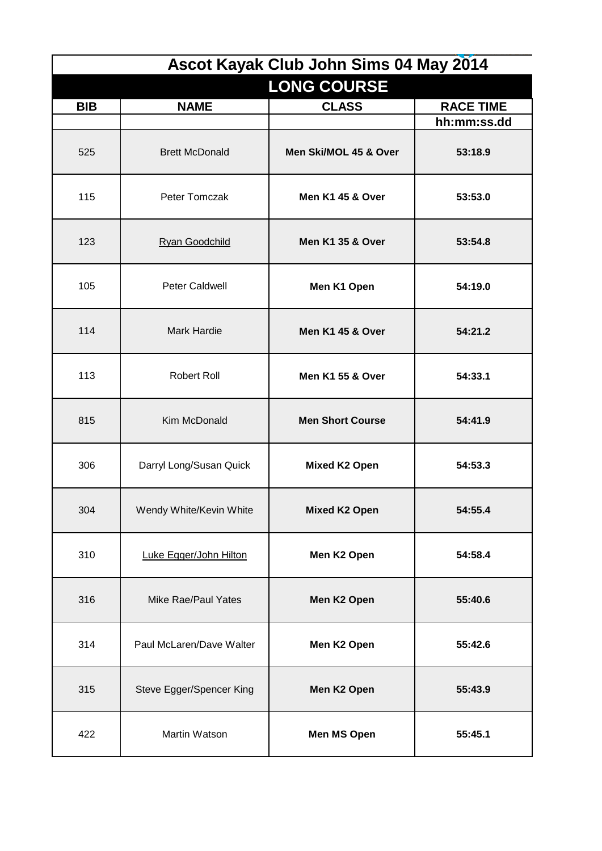| Ascot Kayak Club John Sims 04 May 2014 |                            |                             |                  |
|----------------------------------------|----------------------------|-----------------------------|------------------|
|                                        |                            | <b>LONG COURSE</b>          |                  |
| <b>BIB</b>                             | <b>NAME</b>                | <b>CLASS</b>                | <b>RACE TIME</b> |
|                                        |                            |                             | hh:mm:ss.dd      |
| 525                                    | <b>Brett McDonald</b>      | Men Ski/MOL 45 & Over       | 53:18.9          |
| 115                                    | Peter Tomczak              | <b>Men K1 45 &amp; Over</b> | 53:53.0          |
| 123                                    | <b>Ryan Goodchild</b>      | <b>Men K1 35 &amp; Over</b> | 53:54.8          |
| 105                                    | <b>Peter Caldwell</b>      | Men K1 Open                 | 54:19.0          |
| 114                                    | <b>Mark Hardie</b>         | <b>Men K1 45 &amp; Over</b> | 54:21.2          |
| 113                                    | <b>Robert Roll</b>         | <b>Men K1 55 &amp; Over</b> | 54:33.1          |
| 815                                    | Kim McDonald               | <b>Men Short Course</b>     | 54:41.9          |
| 306                                    | Darryl Long/Susan Quick    | Mixed K2 Open               | 54:53.3          |
| 304                                    | Wendy White/Kevin White    | <b>Mixed K2 Open</b>        | 54:55.4          |
| 310                                    | Luke Egger/John Hilton     | Men K2 Open                 | 54:58.4          |
| 316                                    | <b>Mike Rae/Paul Yates</b> | Men K2 Open                 | 55:40.6          |
| 314                                    | Paul McLaren/Dave Walter   | Men K2 Open                 | 55:42.6          |
| 315                                    | Steve Egger/Spencer King   | Men K2 Open                 | 55:43.9          |
| 422                                    | Martin Watson              | <b>Men MS Open</b>          | 55:45.1          |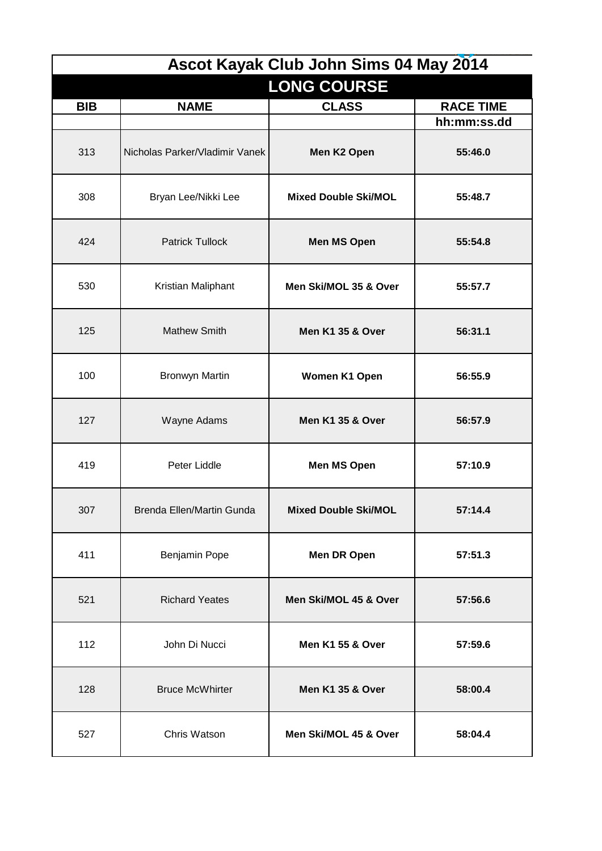| Ascot Kayak Club John Sims 04 May 2014 |                                |                             |                  |
|----------------------------------------|--------------------------------|-----------------------------|------------------|
|                                        |                                | <b>LONG COURSE</b>          |                  |
| <b>BIB</b>                             | <b>NAME</b>                    | <b>CLASS</b>                | <b>RACE TIME</b> |
|                                        |                                |                             | hh:mm:ss.dd      |
| 313                                    | Nicholas Parker/Vladimir Vanek | Men K2 Open                 | 55:46.0          |
| 308                                    | Bryan Lee/Nikki Lee            | <b>Mixed Double Ski/MOL</b> | 55:48.7          |
| 424                                    | <b>Patrick Tullock</b>         | <b>Men MS Open</b>          | 55:54.8          |
| 530                                    | Kristian Maliphant             | Men Ski/MOL 35 & Over       | 55:57.7          |
| 125                                    | <b>Mathew Smith</b>            | <b>Men K1 35 &amp; Over</b> | 56:31.1          |
| 100                                    | <b>Bronwyn Martin</b>          | Women K1 Open               | 56:55.9          |
| 127                                    | Wayne Adams                    | Men K1 35 & Over            | 56:57.9          |
| 419                                    | Peter Liddle                   | Men MS Open                 | 57:10.9          |
| 307                                    | Brenda Ellen/Martin Gunda      | <b>Mixed Double Ski/MOL</b> | 57:14.4          |
| 411                                    | Benjamin Pope                  | <b>Men DR Open</b>          | 57:51.3          |
| 521                                    | <b>Richard Yeates</b>          | Men Ski/MOL 45 & Over       | 57:56.6          |
| 112                                    | John Di Nucci                  | <b>Men K1 55 &amp; Over</b> | 57:59.6          |
| 128                                    | <b>Bruce McWhirter</b>         | Men K1 35 & Over            | 58:00.4          |
| 527                                    | Chris Watson                   | Men Ski/MOL 45 & Over       | 58:04.4          |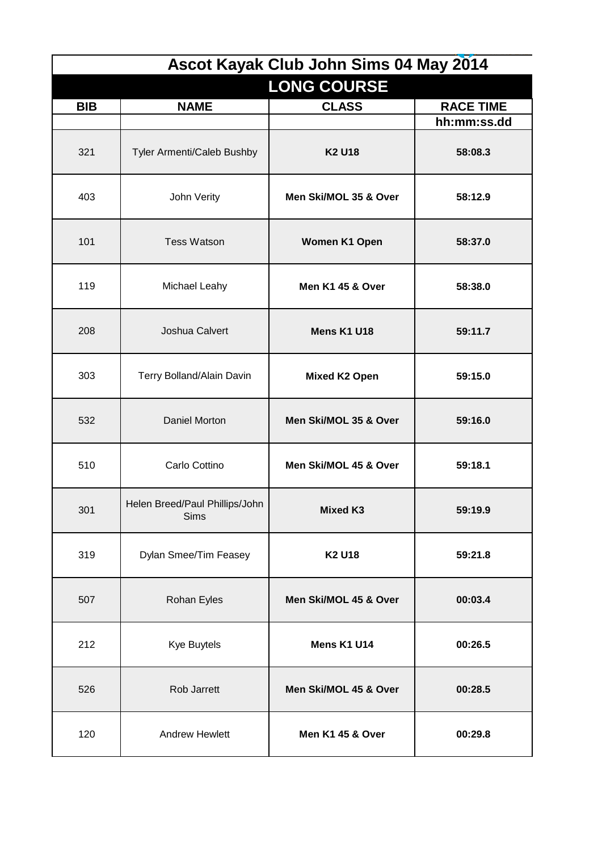| Ascot Kayak Club John Sims 04 May 2014 |                                               |                             |                  |  |  |
|----------------------------------------|-----------------------------------------------|-----------------------------|------------------|--|--|
|                                        | <b>LONG COURSE</b>                            |                             |                  |  |  |
| <b>BIB</b>                             | <b>NAME</b>                                   | <b>CLASS</b>                | <b>RACE TIME</b> |  |  |
|                                        |                                               |                             | hh:mm:ss.dd      |  |  |
| 321                                    | Tyler Armenti/Caleb Bushby                    | <b>K2 U18</b>               | 58:08.3          |  |  |
| 403                                    | John Verity                                   | Men Ski/MOL 35 & Over       | 58:12.9          |  |  |
| 101                                    | <b>Tess Watson</b>                            | <b>Women K1 Open</b>        | 58:37.0          |  |  |
| 119                                    | Michael Leahy                                 | <b>Men K1 45 &amp; Over</b> | 58:38.0          |  |  |
| 208                                    | Joshua Calvert                                | Mens K1 U18                 | 59:11.7          |  |  |
| 303                                    | Terry Bolland/Alain Davin                     | <b>Mixed K2 Open</b>        | 59:15.0          |  |  |
| 532                                    | Daniel Morton                                 | Men Ski/MOL 35 & Over       | 59:16.0          |  |  |
| 510                                    | Carlo Cottino                                 | Men Ski/MOL 45 & Over       | 59:18.1          |  |  |
| 301                                    | Helen Breed/Paul Phillips/John<br><b>Sims</b> | <b>Mixed K3</b>             | 59:19.9          |  |  |
| 319                                    | Dylan Smee/Tim Feasey                         | <b>K2 U18</b>               | 59:21.8          |  |  |
| 507                                    | Rohan Eyles                                   | Men Ski/MOL 45 & Over       | 00:03.4          |  |  |
| 212                                    | Kye Buytels                                   | Mens K1 U14                 | 00:26.5          |  |  |
| 526                                    | Rob Jarrett                                   | Men Ski/MOL 45 & Over       | 00:28.5          |  |  |
| 120                                    | <b>Andrew Hewlett</b>                         | Men K1 45 & Over            | 00:29.8          |  |  |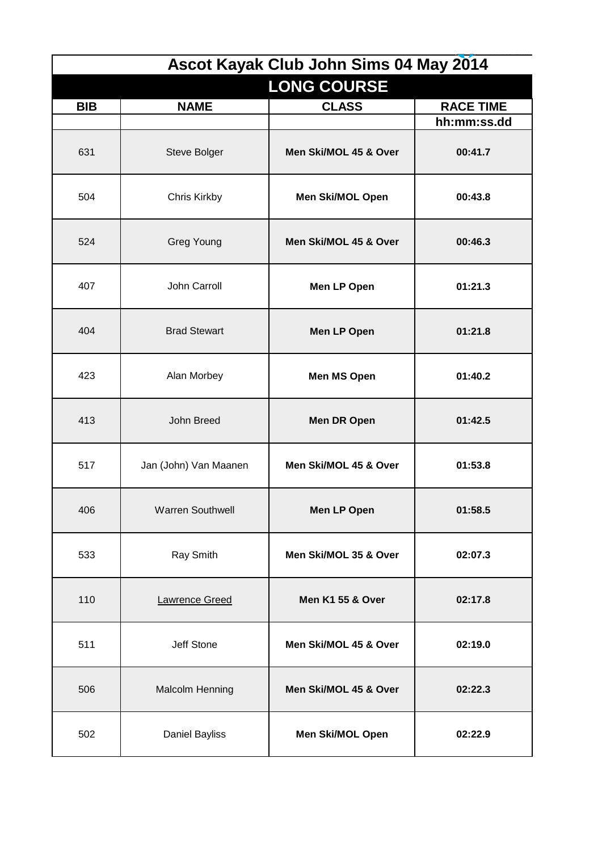| Ascot Kayak Club John Sims 04 May 2014 |                         |                             |                  |
|----------------------------------------|-------------------------|-----------------------------|------------------|
|                                        |                         | <b>LONG COURSE</b>          |                  |
| <b>BIB</b>                             | <b>NAME</b>             | <b>CLASS</b>                | <b>RACE TIME</b> |
|                                        |                         |                             | hh:mm:ss.dd      |
| 631                                    | Steve Bolger            | Men Ski/MOL 45 & Over       | 00:41.7          |
| 504                                    | Chris Kirkby            | Men Ski/MOL Open            | 00:43.8          |
| 524                                    | <b>Greg Young</b>       | Men Ski/MOL 45 & Over       | 00:46.3          |
| 407                                    | John Carroll            | Men LP Open                 | 01:21.3          |
| 404                                    | <b>Brad Stewart</b>     | <b>Men LP Open</b>          | 01:21.8          |
| 423                                    | Alan Morbey             | <b>Men MS Open</b>          | 01:40.2          |
| 413                                    | John Breed              | <b>Men DR Open</b>          | 01:42.5          |
| 517                                    | Jan (John) Van Maanen   | Men Ski/MOL 45 & Over       | 01:53.8          |
| 406                                    | <b>Warren Southwell</b> | Men LP Open                 | 01:58.5          |
| 533                                    | Ray Smith               | Men Ski/MOL 35 & Over       | 02:07.3          |
| 110                                    | Lawrence Greed          | <b>Men K1 55 &amp; Over</b> | 02:17.8          |
| 511                                    | Jeff Stone              | Men Ski/MOL 45 & Over       | 02:19.0          |
| 506                                    | Malcolm Henning         | Men Ski/MOL 45 & Over       | 02:22.3          |
| 502                                    | Daniel Bayliss          | <b>Men Ski/MOL Open</b>     | 02:22.9          |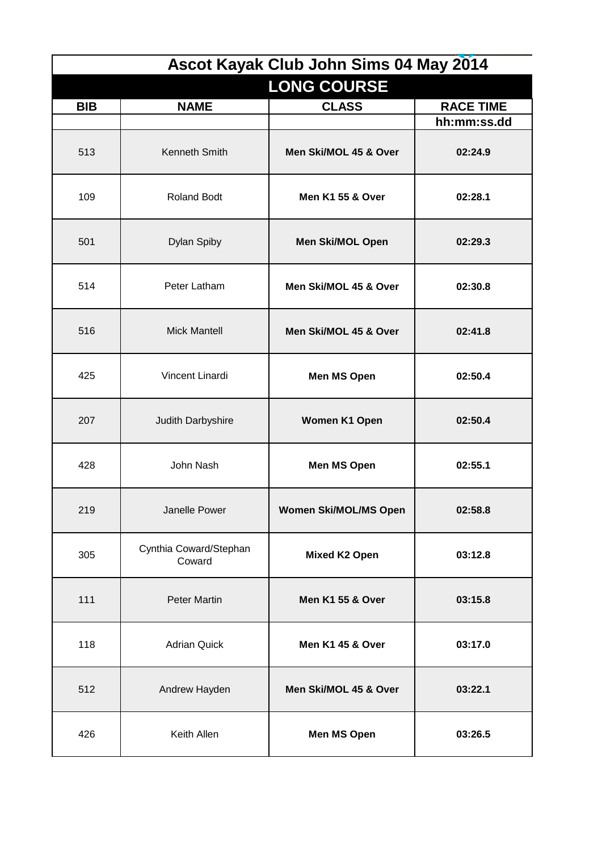| Ascot Kayak Club John Sims 04 May 2014 |                                  |                              |                  |
|----------------------------------------|----------------------------------|------------------------------|------------------|
|                                        |                                  | <b>LONG COURSE</b>           |                  |
| <b>BIB</b>                             | <b>NAME</b>                      | <b>CLASS</b>                 | <b>RACE TIME</b> |
|                                        |                                  |                              | hh:mm:ss.dd      |
| 513                                    | Kenneth Smith                    | Men Ski/MOL 45 & Over        | 02:24.9          |
| 109                                    | <b>Roland Bodt</b>               | <b>Men K1 55 &amp; Over</b>  | 02:28.1          |
| 501                                    | Dylan Spiby                      | <b>Men Ski/MOL Open</b>      | 02:29.3          |
| 514                                    | Peter Latham                     | Men Ski/MOL 45 & Over        | 02:30.8          |
| 516                                    | <b>Mick Mantell</b>              | Men Ski/MOL 45 & Over        | 02:41.8          |
| 425                                    | Vincent Linardi                  | <b>Men MS Open</b>           | 02:50.4          |
| 207                                    | Judith Darbyshire                | Women K1 Open                | 02:50.4          |
| 428                                    | John Nash                        | <b>Men MS Open</b>           | 02:55.1          |
| 219                                    | Janelle Power                    | <b>Women Ski/MOL/MS Open</b> | 02:58.8          |
| 305                                    | Cynthia Coward/Stephan<br>Coward | <b>Mixed K2 Open</b>         | 03:12.8          |
| 111                                    | <b>Peter Martin</b>              | <b>Men K1 55 &amp; Over</b>  | 03:15.8          |
| 118                                    | <b>Adrian Quick</b>              | Men K1 45 & Over             | 03:17.0          |
| 512                                    | Andrew Hayden                    | Men Ski/MOL 45 & Over        | 03:22.1          |
| 426                                    | Keith Allen                      | <b>Men MS Open</b>           | 03:26.5          |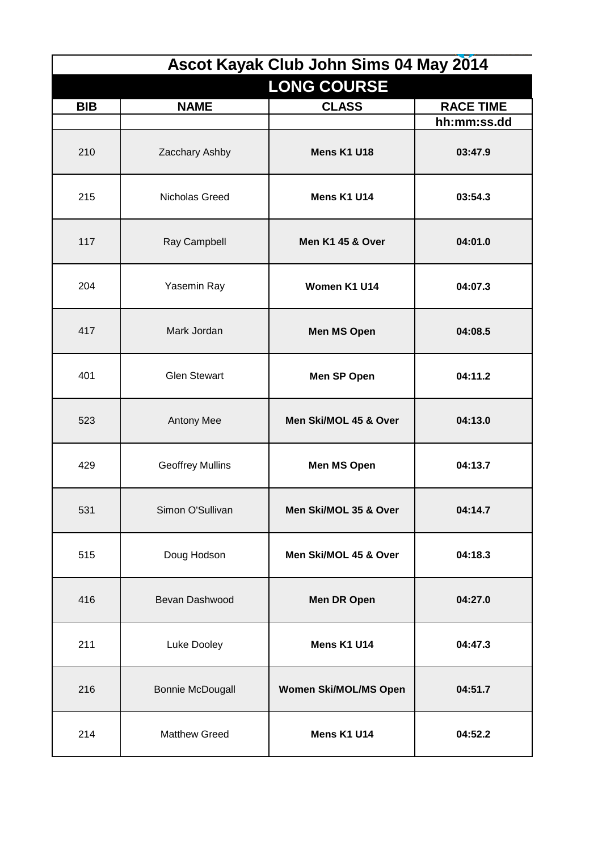|            |                         | Ascot Kayak Club John Sims 04 May 2014 |                  |
|------------|-------------------------|----------------------------------------|------------------|
|            |                         | <b>LONG COURSE</b>                     |                  |
| <b>BIB</b> | <b>NAME</b>             | <b>CLASS</b>                           | <b>RACE TIME</b> |
|            |                         |                                        | hh:mm:ss.dd      |
| 210        | Zacchary Ashby          | Mens K1 U18                            | 03:47.9          |
| 215        | Nicholas Greed          | Mens K1 U14                            | 03:54.3          |
| 117        | Ray Campbell            | Men K1 45 & Over                       | 04:01.0          |
| 204        | Yasemin Ray             | Women K1 U14                           | 04:07.3          |
| 417        | Mark Jordan             | <b>Men MS Open</b>                     | 04:08.5          |
| 401        | <b>Glen Stewart</b>     | Men SP Open                            | 04:11.2          |
| 523        | Antony Mee              | Men Ski/MOL 45 & Over                  | 04:13.0          |
| 429        | <b>Geoffrey Mullins</b> | <b>Men MS Open</b>                     | 04:13.7          |
| 531        | Simon O'Sullivan        | Men Ski/MOL 35 & Over                  | 04:14.7          |
| 515        | Doug Hodson             | Men Ski/MOL 45 & Over                  | 04:18.3          |
| 416        | Bevan Dashwood          | <b>Men DR Open</b>                     | 04:27.0          |
| 211        | Luke Dooley             | Mens K1 U14                            | 04:47.3          |
| 216        | <b>Bonnie McDougall</b> | <b>Women Ski/MOL/MS Open</b>           | 04:51.7          |
| 214        | <b>Matthew Greed</b>    | Mens K1 U14                            | 04:52.2          |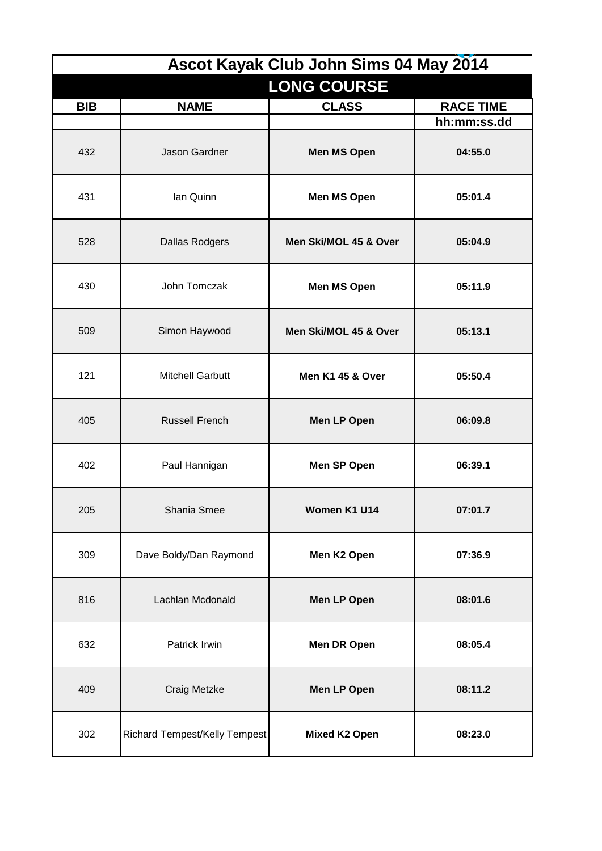|            |                               | Ascot Kayak Club John Sims 04 May 2014 |                  |
|------------|-------------------------------|----------------------------------------|------------------|
|            |                               | <b>LONG COURSE</b>                     |                  |
| <b>BIB</b> | <b>NAME</b>                   | <b>CLASS</b>                           | <b>RACE TIME</b> |
|            |                               |                                        | hh:mm:ss.dd      |
| 432        | Jason Gardner                 | <b>Men MS Open</b>                     | 04:55.0          |
| 431        | Ian Quinn                     | <b>Men MS Open</b>                     | 05:01.4          |
| 528        | <b>Dallas Rodgers</b>         | Men Ski/MOL 45 & Over                  | 05:04.9          |
| 430        | John Tomczak                  | <b>Men MS Open</b>                     | 05:11.9          |
| 509        | Simon Haywood                 | Men Ski/MOL 45 & Over                  | 05:13.1          |
| 121        | <b>Mitchell Garbutt</b>       | Men K1 45 & Over                       | 05:50.4          |
| 405        | <b>Russell French</b>         | Men LP Open                            | 06:09.8          |
| 402        | Paul Hannigan                 | Men SP Open                            | 06:39.1          |
| 205        | Shania Smee                   | Women K1 U14                           | 07:01.7          |
| 309        | Dave Boldy/Dan Raymond        | Men K2 Open                            | 07:36.9          |
| 816        | Lachlan Mcdonald              | Men LP Open                            | 08:01.6          |
| 632        | Patrick Irwin                 | <b>Men DR Open</b>                     | 08:05.4          |
| 409        | Craig Metzke                  | Men LP Open                            | 08:11.2          |
| 302        | Richard Tempest/Kelly Tempest | <b>Mixed K2 Open</b>                   | 08:23.0          |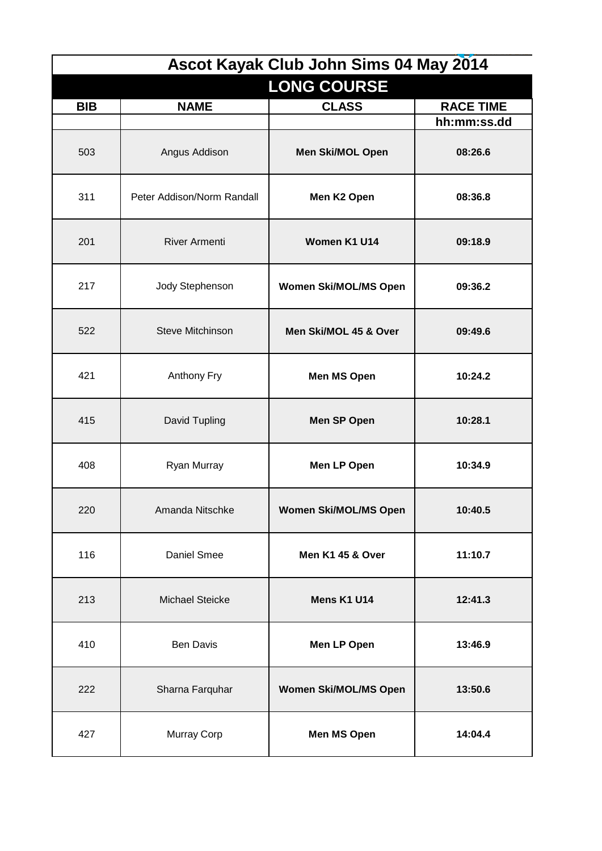|            |                            | Ascot Kayak Club John Sims 04 May 2014 |                                 |
|------------|----------------------------|----------------------------------------|---------------------------------|
|            |                            | <b>LONG COURSE</b>                     |                                 |
| <b>BIB</b> | <b>NAME</b>                | <b>CLASS</b>                           | <b>RACE TIME</b><br>hh:mm:ss.dd |
| 503        | Angus Addison              | Men Ski/MOL Open                       | 08:26.6                         |
| 311        | Peter Addison/Norm Randall | Men K2 Open                            | 08:36.8                         |
| 201        | <b>River Armenti</b>       | Women K1 U14                           | 09:18.9                         |
| 217        | Jody Stephenson            | <b>Women Ski/MOL/MS Open</b>           | 09:36.2                         |
| 522        | Steve Mitchinson           | Men Ski/MOL 45 & Over                  | 09:49.6                         |
| 421        | Anthony Fry                | <b>Men MS Open</b>                     | 10:24.2                         |
| 415        | David Tupling              | Men SP Open                            | 10:28.1                         |
| 408        | Ryan Murray                | Men LP Open                            | 10:34.9                         |
| 220        | Amanda Nitschke            | Women Ski/MOL/MS Open                  | 10:40.5                         |
| 116        | Daniel Smee                | Men K1 45 & Over                       | 11:10.7                         |
| 213        | <b>Michael Steicke</b>     | Mens K1 U14                            | 12:41.3                         |
| 410        | <b>Ben Davis</b>           | Men LP Open                            | 13:46.9                         |
| 222        | Sharna Farquhar            | <b>Women Ski/MOL/MS Open</b>           | 13:50.6                         |
| 427        | Murray Corp                | <b>Men MS Open</b>                     | 14:04.4                         |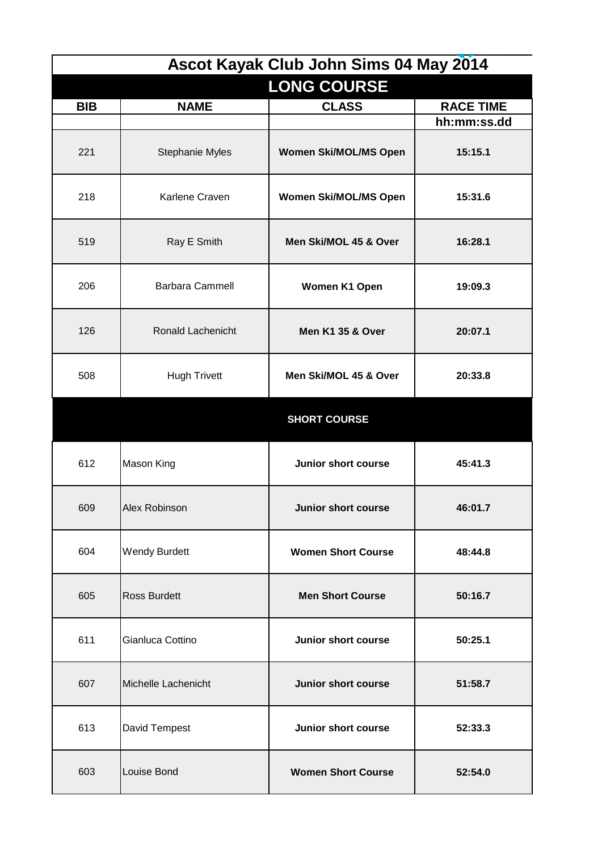| Ascot Kayak Club John Sims 04 May 2014 |                        |                              |                  |
|----------------------------------------|------------------------|------------------------------|------------------|
|                                        |                        | <b>LONG COURSE</b>           |                  |
| <b>BIB</b>                             | <b>NAME</b>            | <b>CLASS</b>                 | <b>RACE TIME</b> |
|                                        |                        |                              | hh:mm:ss.dd      |
| 221                                    | <b>Stephanie Myles</b> | <b>Women Ski/MOL/MS Open</b> | 15:15.1          |
| 218                                    | Karlene Craven         | <b>Women Ski/MOL/MS Open</b> | 15:31.6          |
| 519                                    | Ray E Smith            | Men Ski/MOL 45 & Over        | 16:28.1          |
| 206                                    | <b>Barbara Cammell</b> | Women K1 Open                | 19:09.3          |
| 126                                    | Ronald Lachenicht      | <b>Men K1 35 &amp; Over</b>  | 20:07.1          |
| 508                                    | <b>Hugh Trivett</b>    | Men Ski/MOL 45 & Over        | 20:33.8          |
|                                        |                        | <b>SHORT COURSE</b>          |                  |
| 612                                    | Mason King             | Junior short course          | 45:41.3          |
| 609                                    | Alex Robinson          | Junior short course          | 46:01.7          |
| 604                                    | <b>Wendy Burdett</b>   | <b>Women Short Course</b>    | 48:44.8          |
| 605                                    | <b>Ross Burdett</b>    | <b>Men Short Course</b>      | 50:16.7          |
| 611                                    | Gianluca Cottino       | Junior short course          | 50:25.1          |
| 607                                    | Michelle Lachenicht    | <b>Junior short course</b>   | 51:58.7          |
| 613                                    | David Tempest          | <b>Junior short course</b>   | 52:33.3          |
| 603                                    | Louise Bond            | <b>Women Short Course</b>    | 52:54.0          |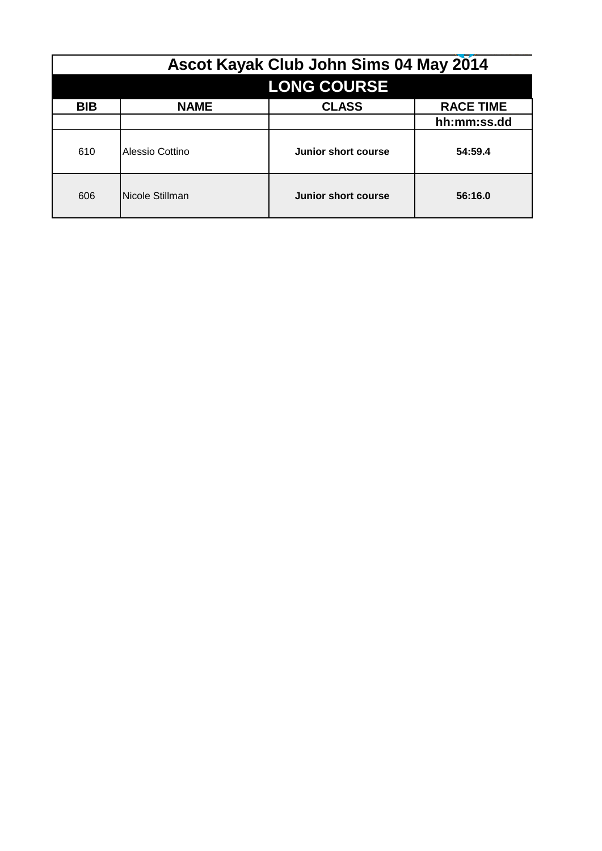| Ascot Kayak Club John Sims 04 May 2014 |                    |                     |                  |  |  |
|----------------------------------------|--------------------|---------------------|------------------|--|--|
|                                        | <b>LONG COURSE</b> |                     |                  |  |  |
| <b>BIB</b>                             | <b>NAME</b>        | <b>CLASS</b>        | <b>RACE TIME</b> |  |  |
|                                        |                    |                     | hh:mm:ss.dd      |  |  |
| 610                                    | Alessio Cottino    | Junior short course | 54:59.4          |  |  |
| 606                                    | Nicole Stillman    | Junior short course | 56:16.0          |  |  |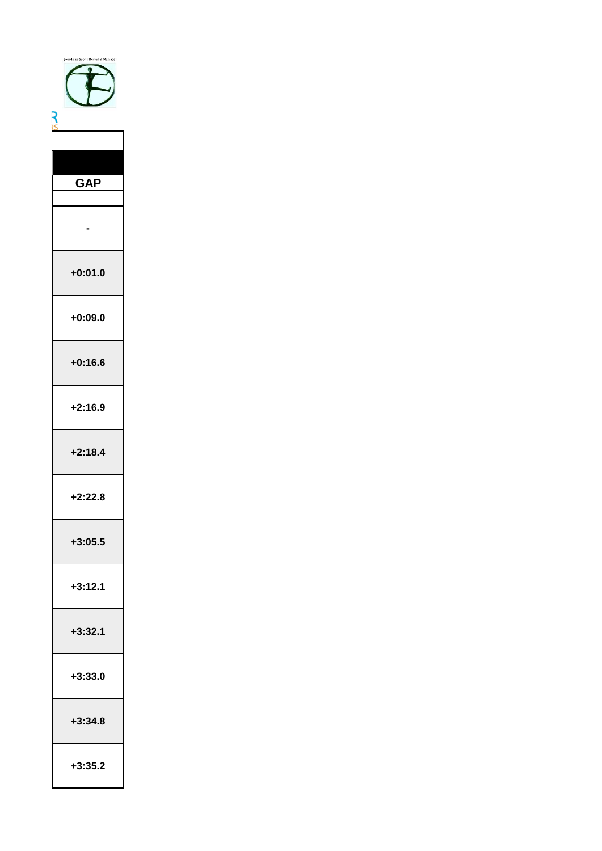| <b>GAP</b> |
|------------|
|            |
|            |
| +0:01.0    |
| +0:09.0    |
| $+0:16.6$  |
| 2:16.9     |
| 2:18.4     |
| :22.8      |
| $+3:05.5$  |
| $+3:12.1$  |
| $+3:32.1$  |
| $+3:33.0$  |
| $+3:34.8$  |
| $+3:35.2$  |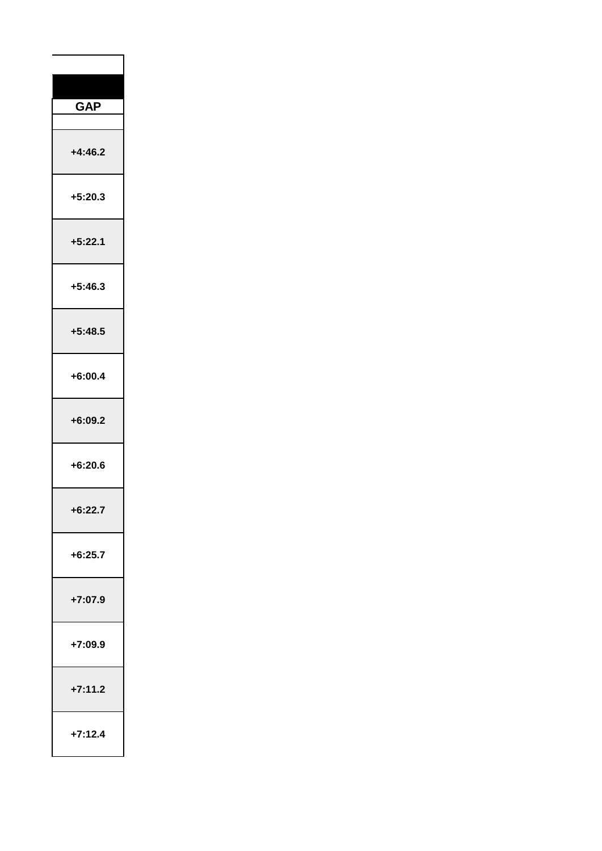| <b>GAP</b>  |
|-------------|
|             |
| $+4:46.2$   |
| $+5:20.3$   |
| $+5:22.1$   |
| $+5:46.3$   |
| $+5:48.5$   |
| $+6:00.4$   |
| $+6:09.2$   |
| $+6:20.6$   |
| 6:227<br>J. |
| $+6:25.7$   |
| +7:07.9     |
| +7:09.9     |
| $-7:11.2$   |
| 7:12.4      |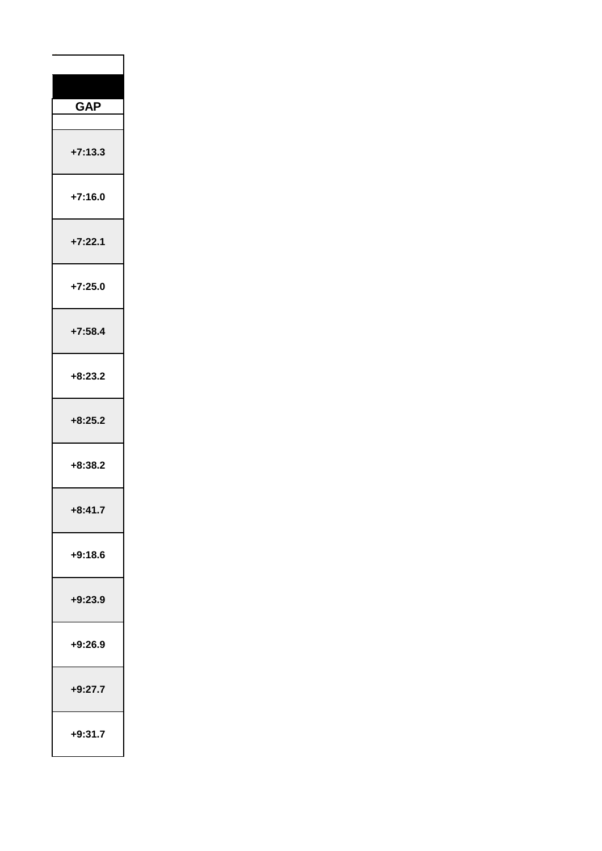| <b>GAP</b> |
|------------|
| $+7:13.3$  |
| $+7:16.0$  |
| $+7:22.1$  |
| $+7:25.0$  |
| $+7:58.4$  |
| $+8:23.2$  |
| $+8:25.2$  |
| $+8:38.2$  |
| $-8:41.7$  |
| $+9:18.6$  |
| $+9:23.9$  |
| +9:26.9    |
| $+9:27.7$  |
| $+9:31.7$  |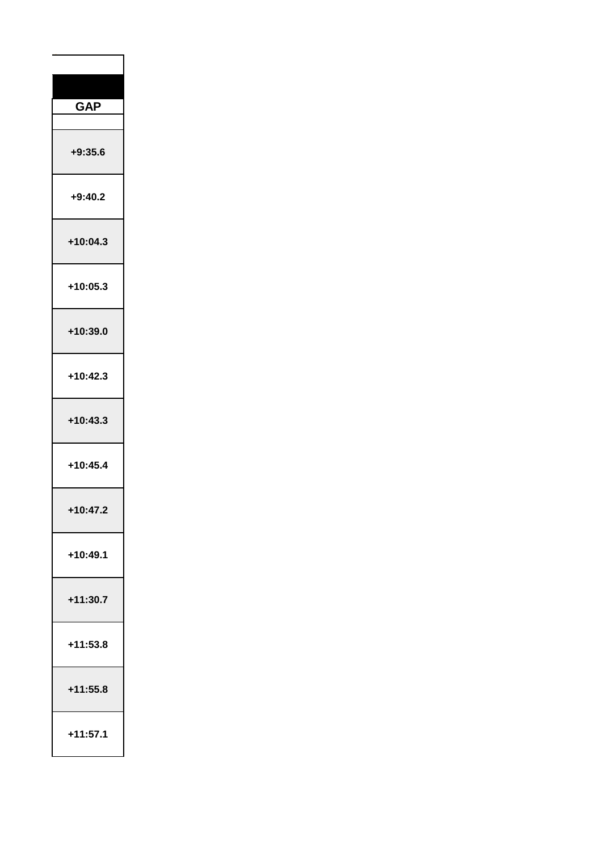| <b>GAP</b>   |
|--------------|
| +9:35.6      |
| $+9:40.2$    |
| $+10:04.3$   |
| $+10:05.3$   |
| +10:39.0     |
| $+10:42.3$   |
| $+10:43.3$   |
| $+10:45.4$   |
| 7<br>ľ,<br>ŀ |
| $+10:49.1$   |
| $+11:30.7$   |
| +11:53.8     |
| +11:55.8     |
| +11:57.1     |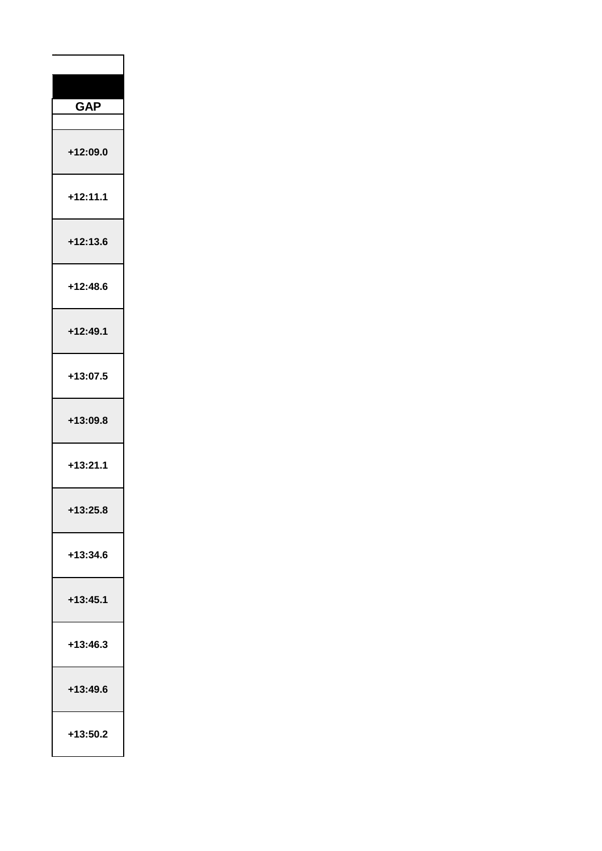| <b>GAP</b> |
|------------|
| +12:09.0   |
| $+12:11.1$ |
| +12:13.6   |
| +12:48.6   |
| $+12:49.1$ |
| +13:07.5   |
| +13:09.8   |
| $+13:21.1$ |
| $-13:25.8$ |
| +13:34.6   |
| $+13:45.1$ |
| +13:46.3   |
| +13:49.6   |
| +13:50.2   |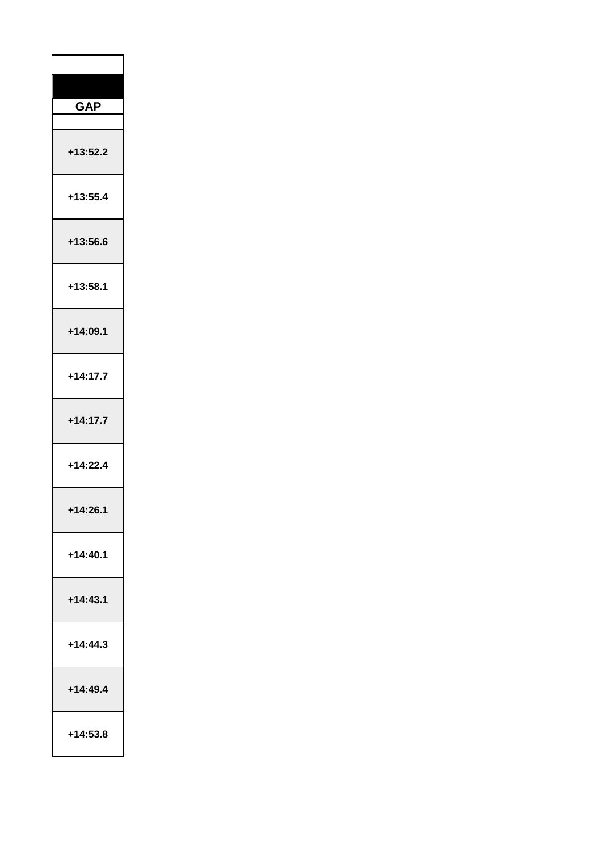| <b>GAP</b>     |
|----------------|
| +13:52.2       |
| $+13:55.4$     |
| +13:56.6       |
| +13:58.1       |
| +14:09.1       |
| $+14:17.7$     |
| $+14:17.7$     |
| $+14:22.4$     |
| 4:2<br>-1<br>6 |
| $+14:40.1$     |
| $+14:43.1$     |
| $+14:44.3$     |
| $+14:49.4$     |
| +14:53.8       |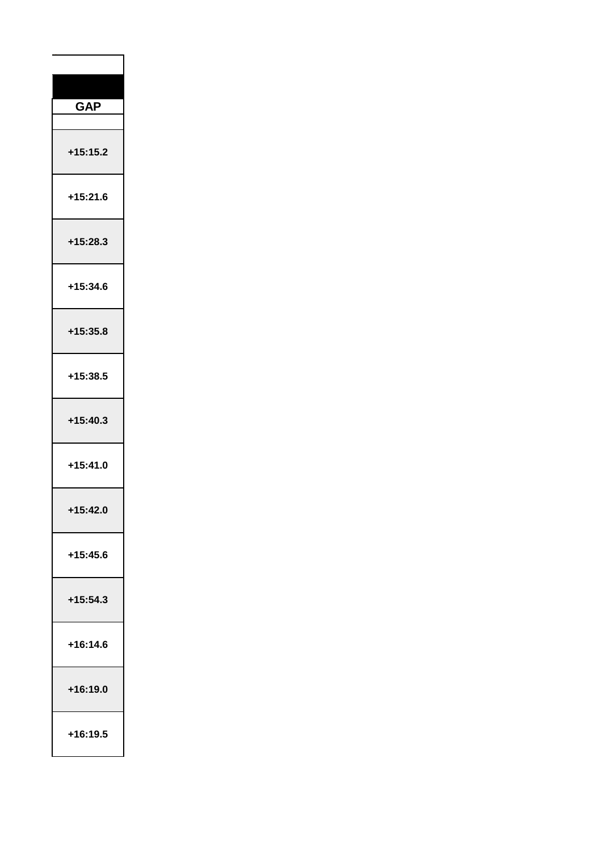| <b>GAP</b>     |
|----------------|
|                |
| $+15:15.2$     |
| +15:21.6       |
| $+15:28.3$     |
| +15:34.6       |
| +15:35.8       |
| +15:38.5       |
| +15:40.3       |
| +15:41.0       |
| $-15:42$<br>ı. |
| +15:45.6       |
| $+15:54.3$     |
| +16:14.6       |
| +16:19.0       |
| +16:19.5       |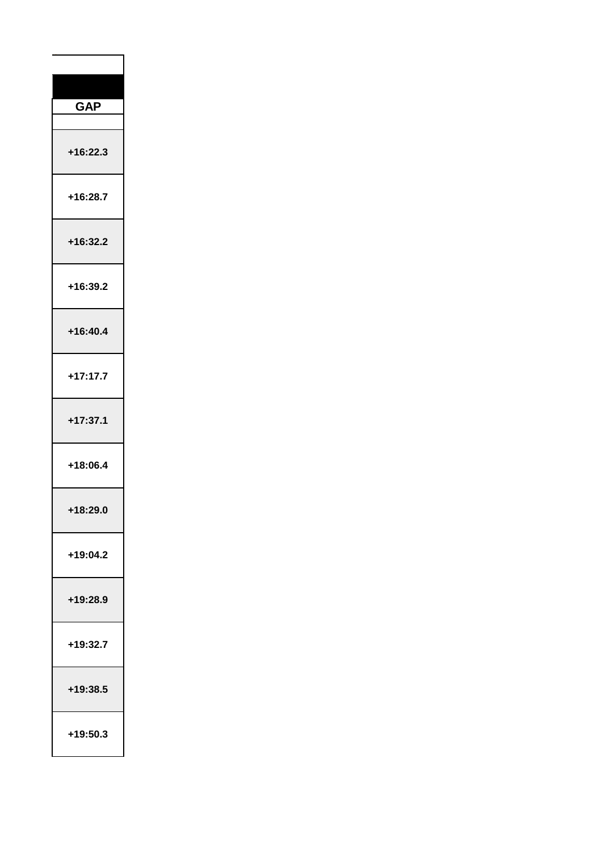| <b>GAP</b>  |
|-------------|
|             |
| $+16:22.3$  |
| +16:28.7    |
| +16:32.2    |
| +16:39.2    |
| $+16:40.4$  |
| $+17:17.7$  |
| $+17:37.1$  |
| +18:06.4    |
| Í<br>ŕ<br>ì |
| +19:04.2    |
| +19:28.9    |
| +19:32.7    |
| +19:38.5    |
| +19:50.3    |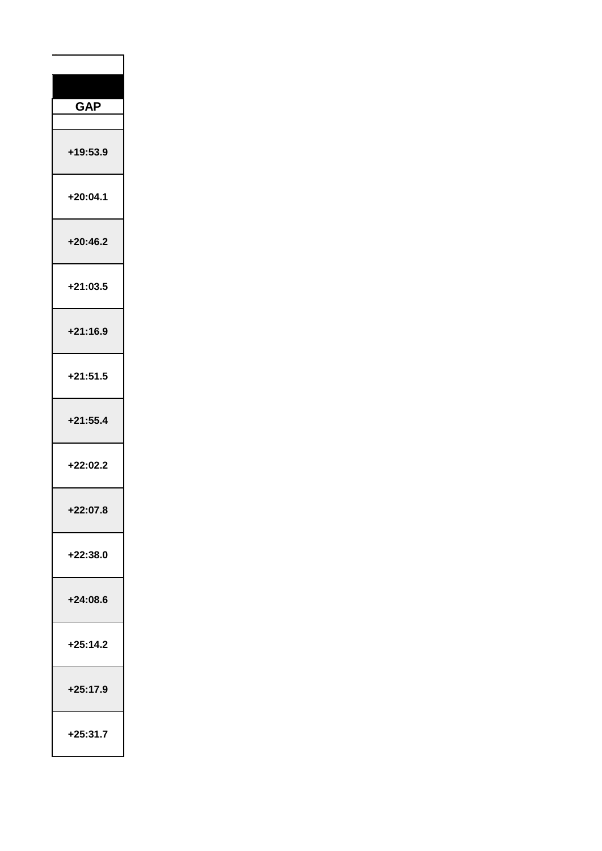| <b>GAP</b>          |
|---------------------|
|                     |
| +19:53.9            |
| +20:04.1            |
| $+20:46.2$          |
| +21:03.5            |
| $+21:16.9$          |
| $+21:51.5$          |
| $+21:55.4$          |
| +22:02.2            |
| - 1<br>7<br>Ù<br>Ι, |
| +22:38.0            |
| $+24:08.6$          |
| $+25:14.2$          |
| +25:17.9            |
| $+25:31.7$          |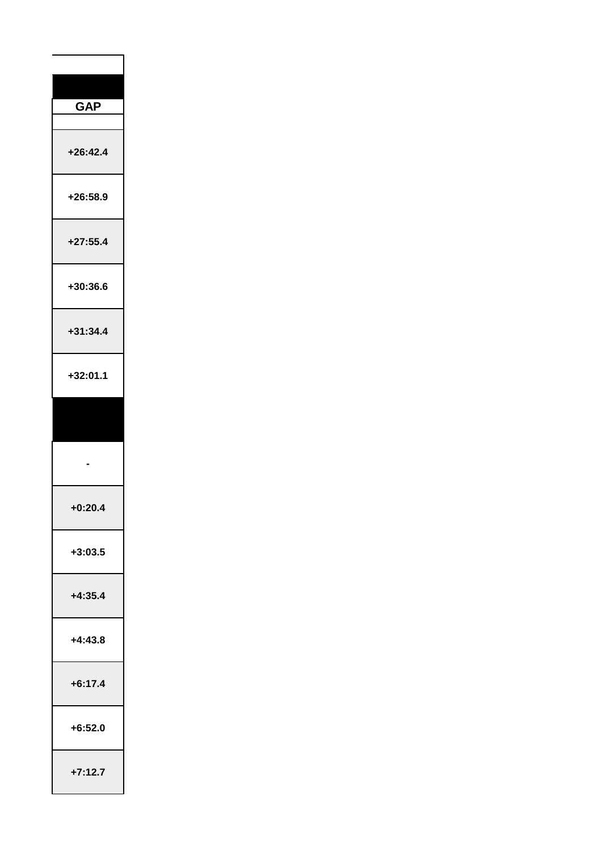| <b>GAP</b>           |
|----------------------|
| $+26:42.4$           |
| +26:58.9             |
| $+27:55.4$           |
| +30:36.6             |
| $+31:34.4$           |
| +32:01.1             |
|                      |
|                      |
| : 20<br>4<br>Ļ,<br>O |
| $+3:03.5$            |
| $+4:35.4$            |
| +4:43.8              |
| $+6:17.4$            |
| $+6:52.0$            |
|                      |